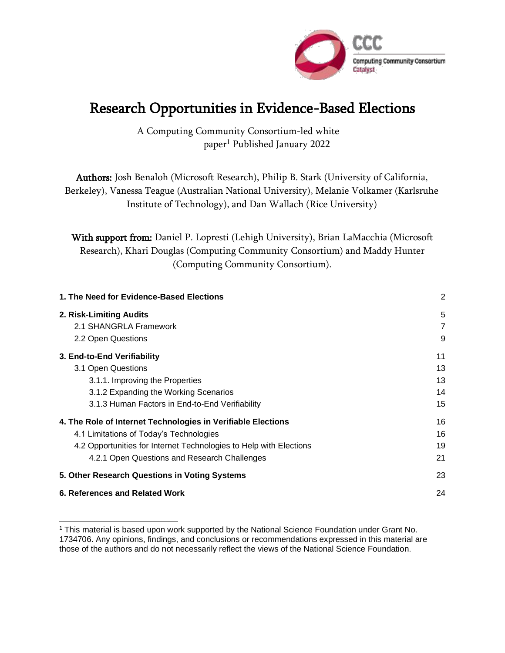

# Research Opportunities in Evidence-Based Elections

A Computing Community Consortium-led white paper<sup>1</sup> Published January 2022

Authors: Josh Benaloh (Microsoft Research), Philip B. Stark (University of California, Berkeley), Vanessa Teague (Australian National University), Melanie Volkamer (Karlsruhe Institute of Technology), and Dan Wallach (Rice University)

With support from: Daniel P. Lopresti (Lehigh University), Brian LaMacchia (Microsoft Research), Khari Douglas (Computing Community Consortium) and Maddy Hunter (Computing Community Consortium).

| 1. The Need for Evidence-Based Elections                           | $\overline{2}$ |
|--------------------------------------------------------------------|----------------|
| 2. Risk-Limiting Audits                                            | 5              |
| 2.1 SHANGRLA Framework                                             | $\overline{7}$ |
| 2.2 Open Questions                                                 | 9              |
| 3. End-to-End Verifiability                                        | 11             |
| 3.1 Open Questions                                                 | 13             |
| 3.1.1. Improving the Properties                                    | 13             |
| 3.1.2 Expanding the Working Scenarios                              | 14             |
| 3.1.3 Human Factors in End-to-End Verifiability                    | 15             |
| 4. The Role of Internet Technologies in Verifiable Elections       | 16             |
| 4.1 Limitations of Today's Technologies                            | 16             |
| 4.2 Opportunities for Internet Technologies to Help with Elections | 19             |
| 4.2.1 Open Questions and Research Challenges                       | 21             |
| 5. Other Research Questions in Voting Systems                      | 23             |
| 6. References and Related Work                                     | 24             |

<sup>&</sup>lt;sup>1</sup> This material is based upon work supported by the National Science Foundation under Grant No. 1734706. Any opinions, findings, and conclusions or recommendations expressed in this material are those of the authors and do not necessarily reflect the views of the National Science Foundation.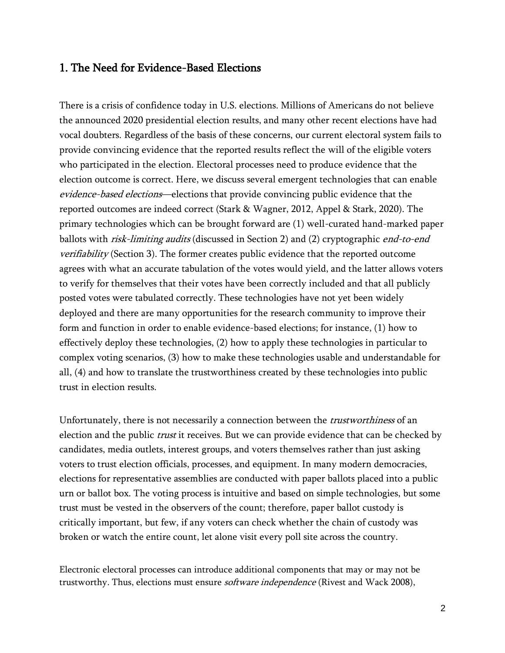#### 1. The Need for Evidence-Based Elections

There is a crisis of confidence today in U.S. elections. Millions of Americans do not believe the announced 2020 presidential election results, and many other recent elections have had vocal doubters. Regardless of the basis of these concerns, our current electoral system fails to provide convincing evidence that the reported results reflect the will of the eligible voters who participated in the election. Electoral processes need to produce evidence that the election outcome is correct. Here, we discuss several emergent technologies that can enable evidence-based elections—elections that provide convincing public evidence that the reported outcomes are indeed correct (Stark & Wagner, 2012, Appel & Stark, 2020). The primary technologies which can be brought forward are (1) well-curated hand-marked paper ballots with *risk-limiting audits* (discussed in Section 2) and (2) cryptographic *end-to-end* verifiability (Section 3). The former creates public evidence that the reported outcome agrees with what an accurate tabulation of the votes would yield, and the latter allows voters to verify for themselves that their votes have been correctly included and that all publicly posted votes were tabulated correctly. These technologies have not yet been widely deployed and there are many opportunities for the research community to improve their form and function in order to enable evidence-based elections; for instance, (1) how to effectively deploy these technologies, (2) how to apply these technologies in particular to complex voting scenarios, (3) how to make these technologies usable and understandable for all, (4) and how to translate the trustworthiness created by these technologies into public trust in election results.

Unfortunately, there is not necessarily a connection between the *trustworthiness* of an election and the public *trust* it receives. But we can provide evidence that can be checked by candidates, media outlets, interest groups, and voters themselves rather than just asking voters to trust election officials, processes, and equipment. In many modern democracies, elections for representative assemblies are conducted with paper ballots placed into a public urn or ballot box. The voting process is intuitive and based on simple technologies, but some trust must be vested in the observers of the count; therefore, paper ballot custody is critically important, but few, if any voters can check whether the chain of custody was broken or watch the entire count, let alone visit every poll site across the country.

Electronic electoral processes can introduce additional components that may or may not be trustworthy. Thus, elections must ensure *software independence* (Rivest and Wack 2008),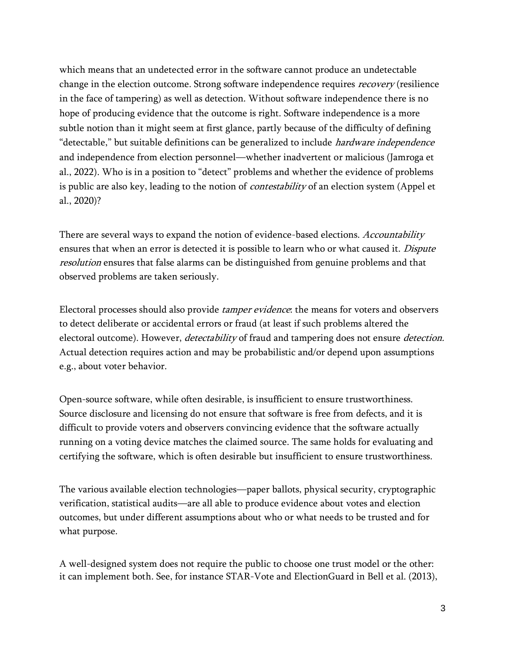which means that an undetected error in the software cannot produce an undetectable change in the election outcome. Strong software independence requires *recovery* (resilience in the face of tampering) as well as detection. Without software independence there is no hope of producing evidence that the outcome is right. Software independence is a more subtle notion than it might seem at first glance, partly because of the difficulty of defining "detectable," but suitable definitions can be generalized to include *hardware independence* and independence from election personnel—whether inadvertent or malicious (Jamroga et al., 2022). Who is in a position to "detect" problems and whether the evidence of problems is public are also key, leading to the notion of *contestability* of an election system (Appel et al., 2020)?

There are several ways to expand the notion of evidence-based elections. Accountability ensures that when an error is detected it is possible to learn who or what caused it. *Dispute* resolution ensures that false alarms can be distinguished from genuine problems and that observed problems are taken seriously.

Electoral processes should also provide tamper evidence: the means for voters and observers to detect deliberate or accidental errors or fraud (at least if such problems altered the electoral outcome). However, *detectability* of fraud and tampering does not ensure *detection*. Actual detection requires action and may be probabilistic and/or depend upon assumptions e.g., about voter behavior.

Open-source software, while often desirable, is insufficient to ensure trustworthiness. Source disclosure and licensing do not ensure that software is free from defects, and it is difficult to provide voters and observers convincing evidence that the software actually running on a voting device matches the claimed source. The same holds for evaluating and certifying the software, which is often desirable but insufficient to ensure trustworthiness.

The various available election technologies—paper ballots, physical security, cryptographic verification, statistical audits—are all able to produce evidence about votes and election outcomes, but under different assumptions about who or what needs to be trusted and for what purpose.

A well-designed system does not require the public to choose one trust model or the other: it can implement both. See, for instance STAR-Vote and ElectionGuard in Bell et al. (2013),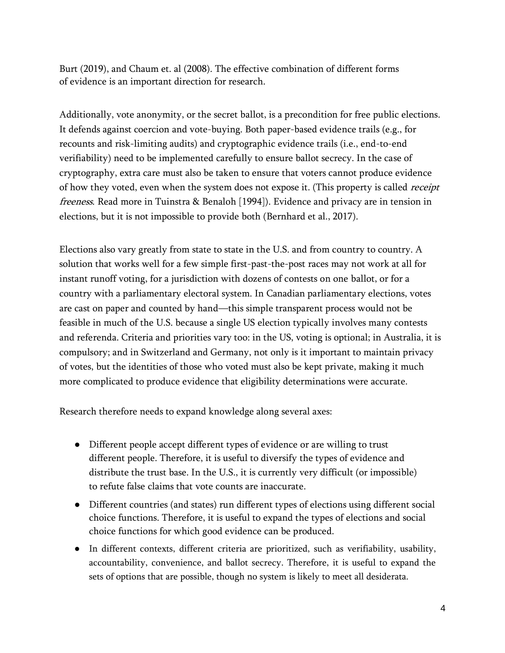Burt (2019), and Chaum et. al (2008). The effective combination of different forms of evidence is an important direction for research.

Additionally, vote anonymity, or the secret ballot, is a precondition for free public elections. It defends against coercion and vote-buying. Both paper-based evidence trails (e.g., for recounts and risk-limiting audits) and cryptographic evidence trails (i.e., end-to-end verifiability) need to be implemented carefully to ensure ballot secrecy. In the case of cryptography, extra care must also be taken to ensure that voters cannot produce evidence of how they voted, even when the system does not expose it. (This property is called *receipt* freeness. Read more in [Tuinstra & Benaloh \[1994\]\).](http://paperpile.com/b/OI1hgF/Ubn9) Evidence and privacy are in tension in elections, but it is not impossible to provide both (Bernhard et al., 2017).

Elections also vary greatly from state to state in the U.S. and from country to country. A solution that works well for a few simple first-past-the-post races may not work at all for instant runoff voting, for a jurisdiction with dozens of contests on one ballot, or for a country with a parliamentary electoral system. In Canadian parliamentary elections, votes are cast on paper and counted by hand—this simple transparent process would not be feasible in much of the U.S. because a single US election typically involves many contests and referenda. Criteria and priorities vary too: in the US, voting is optional; in Australia, it is compulsory; and in Switzerland and Germany, not only is it important to maintain privacy of votes, but the identities of those who voted must also be kept private, making it much more complicated to produce evidence that eligibility determinations were accurate.

Research therefore needs to expand knowledge along several axes:

- Different people accept different types of evidence or are willing to trust different people. Therefore, it is useful to diversify the types of evidence and distribute the trust base. In the U.S., it is currently very difficult (or impossible) to refute false claims that vote counts are inaccurate.
- Different countries (and states) run different types of elections using different social choice functions. Therefore, it is useful to expand the types of elections and social choice functions for which good evidence can be produced.
- In different contexts, different criteria are prioritized, such as verifiability, usability, accountability, convenience, and ballot secrecy. Therefore, it is useful to expand the sets of options that are possible, though no system is likely to meet all desiderata.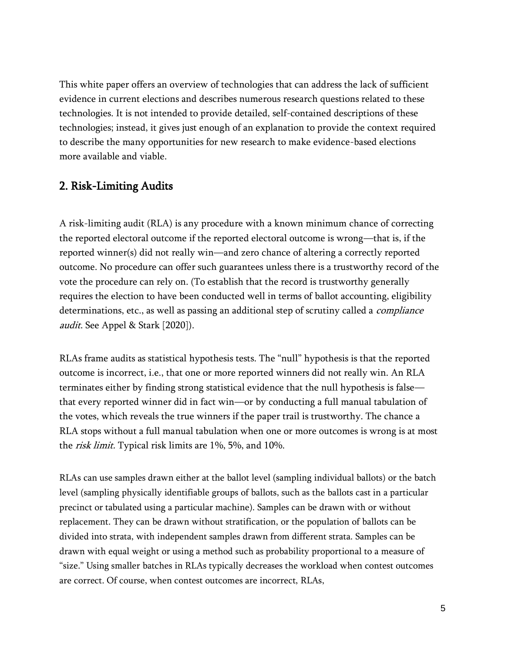This white paper offers an overview of technologies that can address the lack of sufficient evidence in current elections and describes numerous research questions related to these technologies. It is not intended to provide detailed, self-contained descriptions of these technologies; instead, it gives just enough of an explanation to provide the context required to describe the many opportunities for new research to make evidence-based elections more available and viable.

# 2. Risk-Limiting Audits

A risk-limiting audit (RLA) is any procedure with a known minimum chance of correcting the reported electoral outcome if the reported electoral outcome is wrong—that is, if the reported winner(s) did not really win—and zero chance of altering a correctly reported outcome. No procedure can offer such guarantees unless there is a trustworthy record of the vote the procedure can rely on. (To establish that the record is trustworthy generally requires the election to have been conducted well in terms of ballot accounting, eligibility determinations, etc., as well as passing an additional step of scrutiny called a *compliance* audit. See Appel & Stark [2020]).

RLAs frame audits as statistical hypothesis tests. The "null" hypothesis is that the reported outcome is incorrect, i.e., that one or more reported winners did not really win. An RLA terminates either by finding strong statistical evidence that the null hypothesis is false that every reported winner did in fact win—or by conducting a full manual tabulation of the votes, which reveals the true winners if the paper trail is trustworthy. The chance a RLA stops without a full manual tabulation when one or more outcomes is wrong is at most the risk limit. Typical risk limits are 1%, 5%, and 10%.

RLAs can use samples drawn either at the ballot level (sampling individual ballots) or the batch level (sampling physically identifiable groups of ballots, such as the ballots cast in a particular precinct or tabulated using a particular machine). Samples can be drawn with or without replacement. They can be drawn without stratification, or the population of ballots can be divided into strata, with independent samples drawn from different strata. Samples can be drawn with equal weight or using a method such as probability proportional to a measure of "size." Using smaller batches in RLAs typically decreases the workload when contest outcomes are correct. Of course, when contest outcomes are incorrect, RLAs,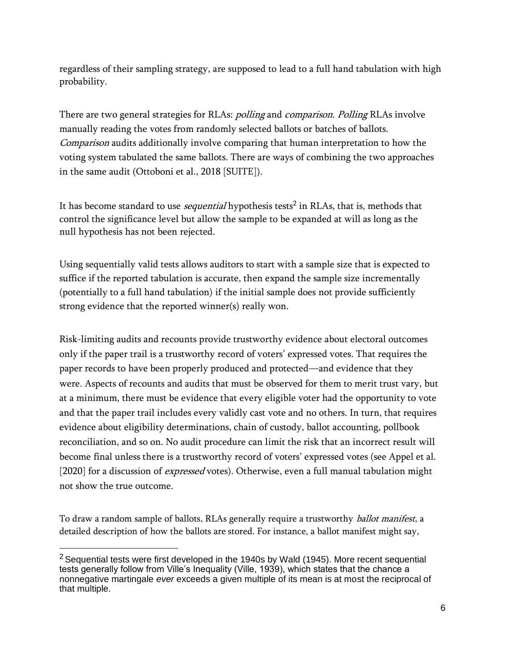regardless of their sampling strategy, are supposed to lead to a full hand tabulation with high probability.

There are two general strategies for RLAs: *polling* and *comparison. Polling* RLAs involve manually reading the votes from randomly selected ballots or batches of ballots. Comparison audits additionally involve comparing that human interpretation to how the voting system tabulated the same ballots. There are ways of combining the two approaches in the same audit (Ottoboni et al., 2018 [SUITE]).

It has become standard to use *sequential* hypothesis tests<sup>2</sup> in RLAs, that is, methods that control the significance level but allow the sample to be expanded at will as long as the null hypothesis has not been rejected.

Using sequentially valid tests allows auditors to start with a sample size that is expected to suffice if the reported tabulation is accurate, then expand the sample size incrementally (potentially to a full hand tabulation) if the initial sample does not provide sufficiently strong evidence that the reported winner(s) really won.

Risk-limiting audits and recounts provide trustworthy evidence about electoral outcomes only if the paper trail is a trustworthy record of voters' expressed votes. That requires the paper records to have been properly produced and protected—and evidence that they were. Aspects of recounts and audits that must be observed for them to merit trust vary, but at a minimum, there must be evidence that every eligible voter had the opportunity to vote and that the paper trail includes every validly cast vote and no others. In turn, that requires evidence about eligibility determinations, chain of custody, ballot accounting, pollbook reconciliation, and so on. No audit procedure can limit the risk that an incorrect result will become final unless there is a trustworthy record of voters' expressed votes (see Appel et al. [2020] for a discussion of *expressed* votes). Otherwise, even a full manual tabulation might not show the true outcome.

To draw a random sample of ballots, RLAs generally require a trustworthy *ballot manifest*, a detailed description of how the ballots are stored. For instance, a ballot manifest might say,

 $2$  Sequential tests were first developed in the 1940s by Wald (1945). More recent sequential tests generally follow from Ville's Inequality (Ville, 1939), which states that the chance a nonnegative martingale *ever* exceeds a given multiple of its mean is at most the reciprocal of that multiple.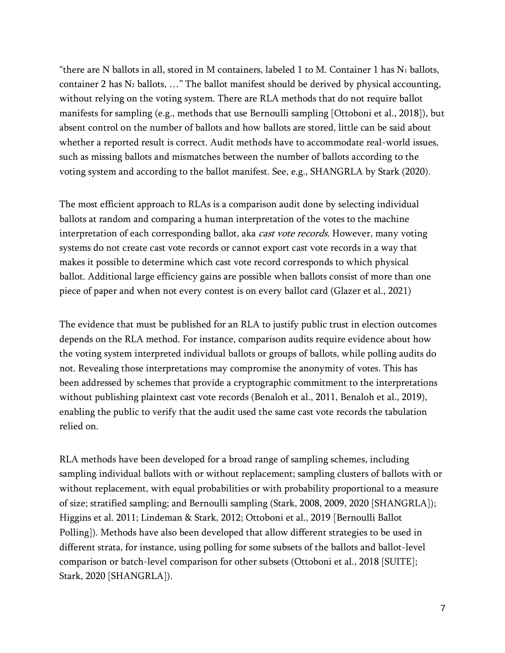"there are N ballots in all, stored in M containers, labeled 1 to M. Container 1 has  $N_1$  ballots, container 2 has  $N_2$  ballots, ..." The ballot manifest should be derived by physical accounting, without relying on the voting system. There are RLA methods that do not require ballot manifests for sampling (e.g., methods that use Bernoulli sampling [Ottoboni et al., 2018]), but absent control on the number of ballots and how ballots are stored, little can be said about whether a reported result is correct. Audit methods have to accommodate real-world issues, such as missing ballots and mismatches between the number of ballots according to the voting system and according to the ballot manifest. See, e.g., SHANGRLA by Stark (2020).

The most efficient approach to RLAs is a comparison audit done by selecting individual ballots at random and comparing a human interpretation of the votes to the machine interpretation of each corresponding ballot, aka *cast vote records*. However, many voting systems do not create cast vote records or cannot export cast vote records in a way that makes it possible to determine which cast vote record corresponds to which physical ballot. Additional large efficiency gains are possible when ballots consist of more than one piece of paper and when not every contest is on every ballot card (Glazer et al., 2021)

The evidence that must be published for an RLA to justify public trust in election outcomes depends on the RLA method. For instance, comparison audits require evidence about how the voting system interpreted individual ballots or groups of ballots, while polling audits do not. Revealing those interpretations may compromise the anonymity of votes. This has been addressed by schemes that provide a cryptographic commitment to the interpretations without publishing plaintext cast vote records (Benaloh et al., 2011, Benaloh et al., 2019), enabling the public to verify that the audit used the same cast vote records the tabulation relied on.

RLA methods have been developed for a broad range of sampling schemes, including sampling individual ballots with or without replacement; sampling clusters of ballots with or without replacement, with equal probabilities or with probability proportional to a measure of size; stratified sampling; and Bernoulli sampling (Stark, 2008, 2009, 2020 [SHANGRLA]); Higgins et al. 2011; Lindeman & Stark, 2012; Ottoboni et al., 2019 [Bernoulli Ballot Polling]). Methods have also been developed that allow different strategies to be used in different strata, for instance, using polling for some subsets of the ballots and ballot-level comparison or batch-level comparison for other subsets (Ottoboni et al., 2018 [SUITE]; Stark, 2020 [SHANGRLA]).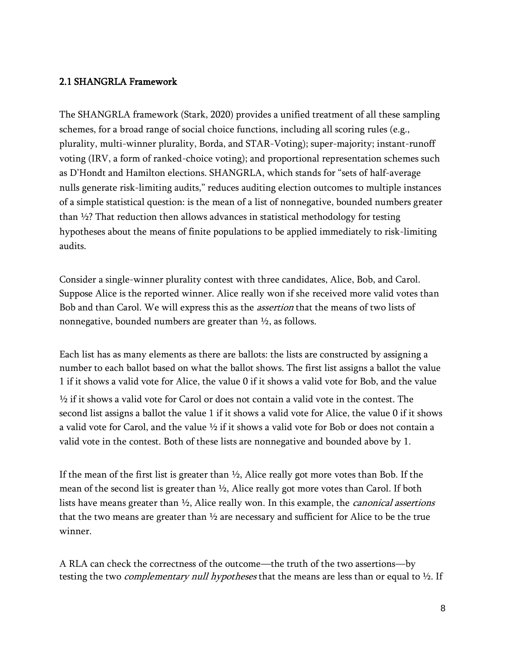#### 2.1 SHANGRLA Framework

The SHANGRLA framework (Stark, 2020) provides a unified treatment of all these sampling schemes, for a broad range of social choice functions, including all scoring rules (e.g., plurality, multi-winner plurality, Borda, and STAR-Voting); super-majority; instant-runoff voting (IRV, a form of ranked-choice voting); and proportional representation schemes such as D'Hondt and Hamilton elections. SHANGRLA, which stands for "sets of half-average nulls generate risk-limiting audits," reduces auditing election outcomes to multiple instances of a simple statistical question: is the mean of a list of nonnegative, bounded numbers greater than ½? That reduction then allows advances in statistical methodology for testing hypotheses about the means of finite populations to be applied immediately to risk-limiting audits.

Consider a single-winner plurality contest with three candidates, Alice, Bob, and Carol. Suppose Alice is the reported winner. Alice really won if she received more valid votes than Bob and than Carol. We will express this as the *assertion* that the means of two lists of nonnegative, bounded numbers are greater than ½, as follows.

Each list has as many elements as there are ballots: the lists are constructed by assigning a number to each ballot based on what the ballot shows. The first list assigns a ballot the value 1 if it shows a valid vote for Alice, the value 0 if it shows a valid vote for Bob, and the value

½ if it shows a valid vote for Carol or does not contain a valid vote in the contest. The second list assigns a ballot the value 1 if it shows a valid vote for Alice, the value 0 if it shows a valid vote for Carol, and the value ½ if it shows a valid vote for Bob or does not contain a valid vote in the contest. Both of these lists are nonnegative and bounded above by 1.

If the mean of the first list is greater than  $\frac{1}{2}$ , Alice really got more votes than Bob. If the mean of the second list is greater than  $\frac{1}{2}$ , Alice really got more votes than Carol. If both lists have means greater than  $\frac{1}{2}$ , Alice really won. In this example, the *canonical assertions* that the two means are greater than  $\frac{1}{2}$  are necessary and sufficient for Alice to be the true winner.

A RLA can check the correctness of the outcome—the truth of the two assertions—by testing the two *complementary null hypotheses* that the means are less than or equal to  $\frac{1}{2}$ . If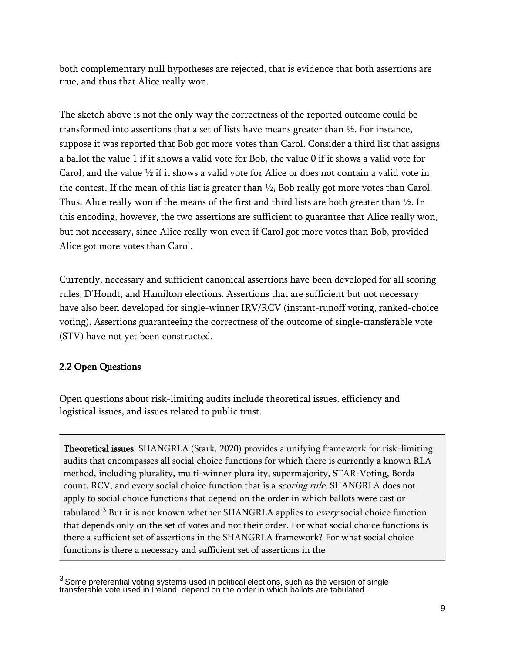both complementary null hypotheses are rejected, that is evidence that both assertions are true, and thus that Alice really won.

The sketch above is not the only way the correctness of the reported outcome could be transformed into assertions that a set of lists have means greater than ½. For instance, suppose it was reported that Bob got more votes than Carol. Consider a third list that assigns a ballot the value 1 if it shows a valid vote for Bob, the value 0 if it shows a valid vote for Carol, and the value  $\frac{1}{2}$  if it shows a valid vote for Alice or does not contain a valid vote in the contest. If the mean of this list is greater than ½, Bob really got more votes than Carol. Thus, Alice really won if the means of the first and third lists are both greater than  $\frac{1}{2}$ . In this encoding, however, the two assertions are sufficient to guarantee that Alice really won, but not necessary, since Alice really won even if Carol got more votes than Bob, provided Alice got more votes than Carol.

Currently, necessary and sufficient canonical assertions have been developed for all scoring rules, D'Hondt, and Hamilton elections. Assertions that are sufficient but not necessary have also been developed for single-winner IRV/RCV (instant-runoff voting, ranked-choice voting). Assertions guaranteeing the correctness of the outcome of single-transferable vote (STV) have not yet been constructed.

# 2.2 Open Questions

Open questions about risk-limiting audits include theoretical issues, efficiency and logistical issues, and issues related to public trust.

Theoretical issues: SHANGRLA (Stark, 2020) provides a unifying framework for risk-limiting audits that encompasses all social choice functions for which there is currently a known RLA method, including plurality, multi-winner plurality, supermajority, STAR-Voting, Borda count, RCV, and every social choice function that is a *scoring rule*. SHANGRLA does not apply to social choice functions that depend on the order in which ballots were cast or tabulated.<sup>3</sup> But it is not known whether SHANGRLA applies to every social choice function that depends only on the set of votes and not their order. For what social choice functions is there a sufficient set of assertions in the SHANGRLA framework? For what social choice functions is there a necessary and sufficient set of assertions in the

 $^3$ Some preferential voting systems used in political elections, such as the version of single transferable vote used in Ireland, depend on the order in which ballots are tabulated.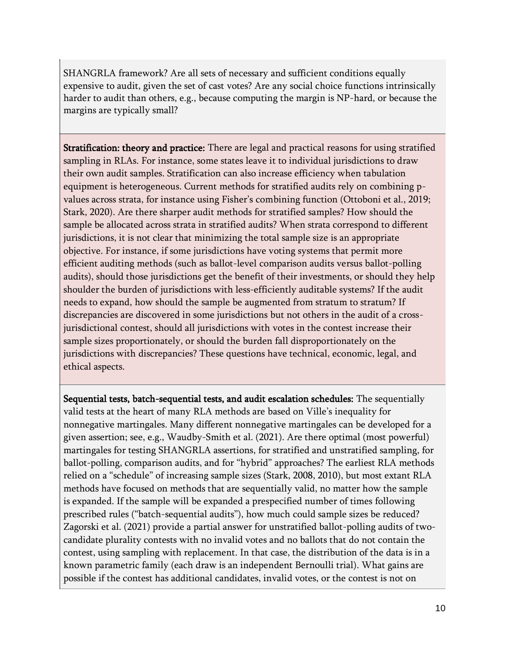SHANGRLA framework? Are all sets of necessary and sufficient conditions equally expensive to audit, given the set of cast votes? Are any social choice functions intrinsically harder to audit than others, e.g., because computing the margin is NP-hard, or because the margins are typically small?

Stratification: theory and practice: There are legal and practical reasons for using stratified sampling in RLAs. For instance, some states leave it to individual jurisdictions to draw their own audit samples. Stratification can also increase efficiency when tabulation equipment is heterogeneous. Current methods for stratified audits rely on combining pvalues across strata, for instance using Fisher's combining function (Ottoboni et al., 2019; Stark, 2020). Are there sharper audit methods for stratified samples? How should the sample be allocated across strata in stratified audits? When strata correspond to different jurisdictions, it is not clear that minimizing the total sample size is an appropriate objective. For instance, if some jurisdictions have voting systems that permit more efficient auditing methods (such as ballot-level comparison audits versus ballot-polling audits), should those jurisdictions get the benefit of their investments, or should they help shoulder the burden of jurisdictions with less-efficiently auditable systems? If the audit needs to expand, how should the sample be augmented from stratum to stratum? If discrepancies are discovered in some jurisdictions but not others in the audit of a crossjurisdictional contest, should all jurisdictions with votes in the contest increase their sample sizes proportionately, or should the burden fall disproportionately on the jurisdictions with discrepancies? These questions have technical, economic, legal, and ethical aspects.

Sequential tests, batch-sequential tests, and audit escalation schedules: The sequentially valid tests at the heart of many RLA methods are based on Ville's inequality for nonnegative martingales. Many different nonnegative martingales can be developed for a given assertion; see, e.g., Waudby-Smith et al. (2021). Are there optimal (most powerful) martingales for testing SHANGRLA assertions, for stratified and unstratified sampling, for ballot-polling, comparison audits, and for "hybrid" approaches? The earliest RLA methods relied on a "schedule" of increasing sample sizes (Stark, 2008, 2010), but most extant RLA methods have focused on methods that are sequentially valid, no matter how the sample is expanded. If the sample will be expanded a prespecified number of times following prescribed rules ("batch-sequential audits"), how much could sample sizes be reduced? Zagorski et al. (2021) provide a partial answer for unstratified ballot-polling audits of twocandidate plurality contests with no invalid votes and no ballots that do not contain the contest, using sampling with replacement. In that case, the distribution of the data is in a known parametric family (each draw is an independent Bernoulli trial). What gains are possible if the contest has additional candidates, invalid votes, or the contest is not on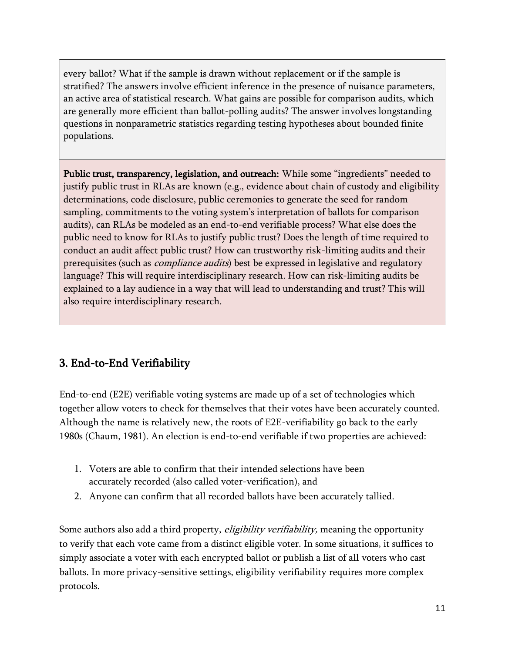every ballot? What if the sample is drawn without replacement or if the sample is stratified? The answers involve efficient inference in the presence of nuisance parameters, an active area of statistical research. What gains are possible for comparison audits, which are generally more efficient than ballot-polling audits? The answer involves longstanding questions in nonparametric statistics regarding testing hypotheses about bounded finite populations.

Public trust, transparency, legislation, and outreach: While some "ingredients" needed to justify public trust in RLAs are known (e.g., evidence about chain of custody and eligibility determinations, code disclosure, public ceremonies to generate the seed for random sampling, commitments to the voting system's interpretation of ballots for comparison audits), can RLAs be modeled as an end-to-end verifiable process? What else does the public need to know for RLAs to justify public trust? Does the length of time required to conduct an audit affect public trust? How can trustworthy risk-limiting audits and their prerequisites (such as *compliance audits*) best be expressed in legislative and regulatory language? This will require interdisciplinary research. How can risk-limiting audits be explained to a lay audience in a way that will lead to understanding and trust? This will also require interdisciplinary research.

# 3. End-to-End Verifiability

End-to-end (E2E) verifiable voting systems are made up of a set of technologies which together allow voters to check for themselves that their votes have been accurately counted. Although the name is relatively new, the roots of E2E-verifiability go back to the early 1980s (Chaum, 1981). An election is end-to-end verifiable if two properties are achieved:

- 1. Voters are able to confirm that their intended selections have been accurately recorded (also called voter-verification), and
- 2. Anyone can confirm that all recorded ballots have been accurately tallied.

Some authors also add a third property, *eligibility verifiability*, meaning the opportunity to verify that each vote came from a distinct eligible voter. In some situations, it suffices to simply associate a voter with each encrypted ballot or publish a list of all voters who cast ballots. In more privacy-sensitive settings, eligibility verifiability requires more complex protocols.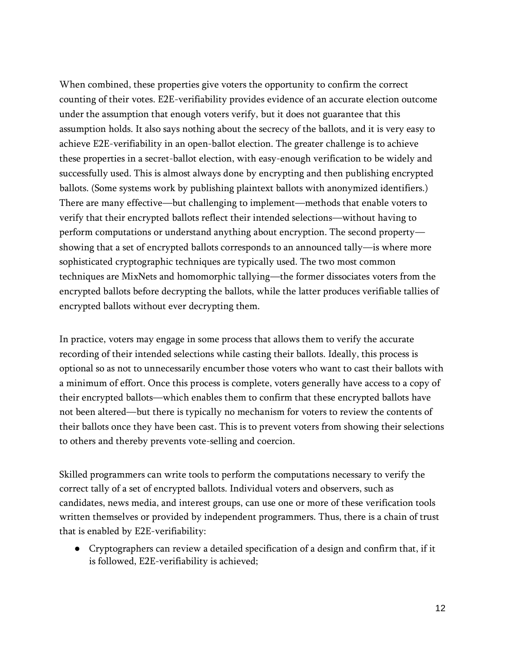When combined, these properties give voters the opportunity to confirm the correct counting of their votes. E2E-verifiability provides evidence of an accurate election outcome under the assumption that enough voters verify, but it does not guarantee that this assumption holds. It also says nothing about the secrecy of the ballots, and it is very easy to achieve E2E-verifiability in an open-ballot election. The greater challenge is to achieve these properties in a secret-ballot election, with easy-enough verification to be widely and successfully used. This is almost always done by encrypting and then publishing encrypted ballots. (Some systems work by publishing plaintext ballots with anonymized identifiers.) There are many effective—but challenging to implement—methods that enable voters to verify that their encrypted ballots reflect their intended selections—without having to perform computations or understand anything about encryption. The second property showing that a set of encrypted ballots corresponds to an announced tally—is where more sophisticated cryptographic techniques are typically used. The two most common techniques are MixNets and homomorphic tallying—the former dissociates voters from the encrypted ballots before decrypting the ballots, while the latter produces verifiable tallies of encrypted ballots without ever decrypting them.

In practice, voters may engage in some process that allows them to verify the accurate recording of their intended selections while casting their ballots. Ideally, this process is optional so as not to unnecessarily encumber those voters who want to cast their ballots with a minimum of effort. Once this process is complete, voters generally have access to a copy of their encrypted ballots—which enables them to confirm that these encrypted ballots have not been altered—but there is typically no mechanism for voters to review the contents of their ballots once they have been cast. This is to prevent voters from showing their selections to others and thereby prevents vote-selling and coercion.

Skilled programmers can write tools to perform the computations necessary to verify the correct tally of a set of encrypted ballots. Individual voters and observers, such as candidates, news media, and interest groups, can use one or more of these verification tools written themselves or provided by independent programmers. Thus, there is a chain of trust that is enabled by E2E-verifiability:

● Cryptographers can review a detailed specification of a design and confirm that, if it is followed, E2E-verifiability is achieved;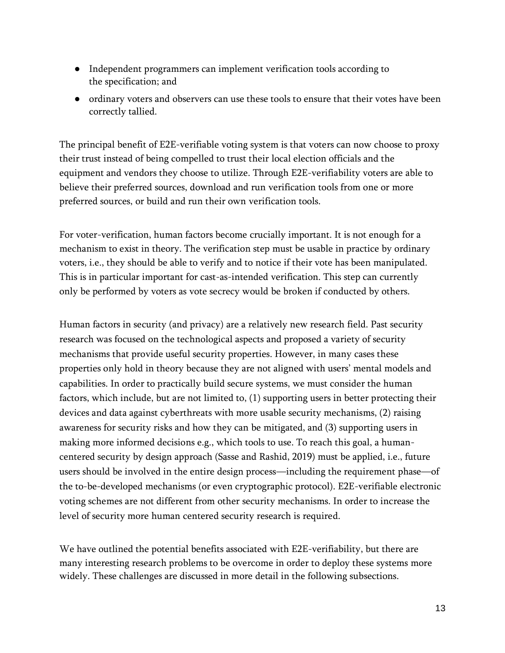- Independent programmers can implement verification tools according to the specification; and
- ordinary voters and observers can use these tools to ensure that their votes have been correctly tallied.

The principal benefit of E2E-verifiable voting system is that voters can now choose to proxy their trust instead of being compelled to trust their local election officials and the equipment and vendors they choose to utilize. Through E2E-verifiability voters are able to believe their preferred sources, download and run verification tools from one or more preferred sources, or build and run their own verification tools.

For voter-verification, human factors become crucially important. It is not enough for a mechanism to exist in theory. The verification step must be usable in practice by ordinary voters, i.e., they should be able to verify and to notice if their vote has been manipulated. This is in particular important for cast-as-intended verification. This step can currently only be performed by voters as vote secrecy would be broken if conducted by others.

Human factors in security (and privacy) are a relatively new research field. Past security research was focused on the technological aspects and proposed a variety of security mechanisms that provide useful security properties. However, in many cases these properties only hold in theory because they are not aligned with users' mental models and capabilities. In order to practically build secure systems, we must consider the human factors, which include, but are not limited to, (1) supporting users in better protecting their devices and data against cyberthreats with more usable security mechanisms, (2) raising awareness for security risks and how they can be mitigated, and (3) supporting users in making more informed decisions e.g., which tools to use. To reach this goal, a humancentered security by design approach (Sasse and Rashid, 2019) must be applied, i.e., future users should be involved in the entire design process—including the requirement phase—of the to-be-developed mechanisms (or even cryptographic protocol). E2E-verifiable electronic voting schemes are not different from other security mechanisms. In order to increase the level of security more human centered security research is required.

We have outlined the potential benefits associated with E2E-verifiability, but there are many interesting research problems to be overcome in order to deploy these systems more widely. These challenges are discussed in more detail in the following subsections.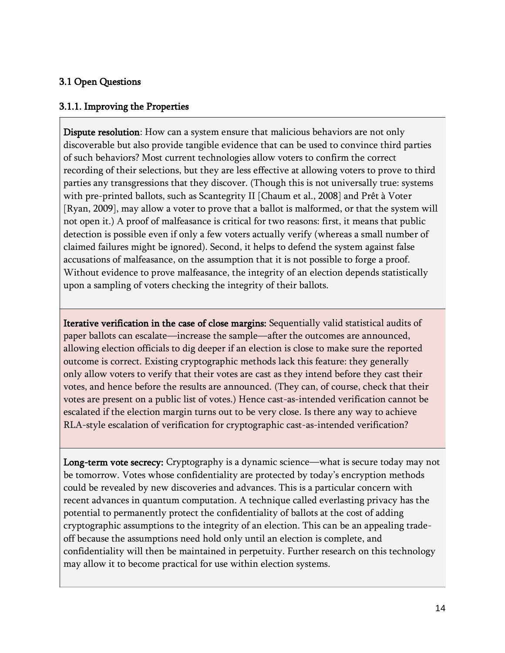#### 3.1 Open Questions

#### 3.1.1. Improving the Properties

Dispute resolution: How can a system ensure that malicious behaviors are not only discoverable but also provide tangible evidence that can be used to convince third parties of such behaviors? Most current technologies allow voters to confirm the correct recording of their selections, but they are less effective at allowing voters to prove to third parties any transgressions that they discover. (Though this is not universally true: systems with pre-printed ballots, such as Scantegrity II [Chaum et al., 2008] and Prêt à Voter [Ryan, 2009], may allow a voter to prove that a ballot is malformed, or that the system will not open it.) A proof of malfeasance is critical for two reasons: first, it means that public detection is possible even if only a few voters actually verify (whereas a small number of claimed failures might be ignored). Second, it helps to defend the system against false accusations of malfeasance, on the assumption that it is not possible to forge a proof. Without evidence to prove malfeasance, the integrity of an election depends statistically upon a sampling of voters checking the integrity of their ballots.

Iterative verification in the case of close margins: Sequentially valid statistical audits of paper ballots can escalate—increase the sample—after the outcomes are announced, allowing election officials to dig deeper if an election is close to make sure the reported outcome is correct. Existing cryptographic methods lack this feature: they generally only allow voters to verify that their votes are cast as they intend before they cast their votes, and hence before the results are announced. (They can, of course, check that their votes are present on a public list of votes.) Hence cast-as-intended verification cannot be escalated if the election margin turns out to be very close. Is there any way to achieve RLA-style escalation of verification for cryptographic cast-as-intended verification?

Long-term vote secrecy: Cryptography is a dynamic science—what is secure today may not be tomorrow. Votes whose confidentiality are protected by today's encryption methods could be revealed by new discoveries and advances. This is a particular concern with recent advances in quantum computation. A technique called everlasting privacy has the potential to permanently protect the confidentiality of ballots at the cost of adding cryptographic assumptions to the integrity of an election. This can be an appealing tradeoff because the assumptions need hold only until an election is complete, and confidentiality will then be maintained in perpetuity. Further research on this technology may allow it to become practical for use within election systems.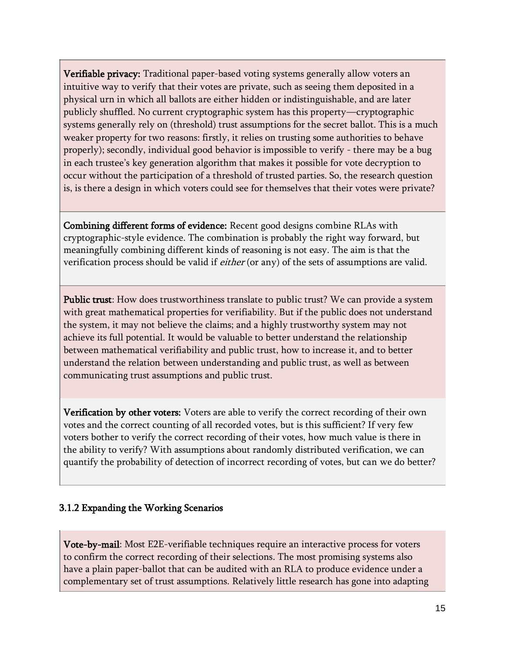Verifiable privacy: Traditional paper-based voting systems generally allow voters an intuitive way to verify that their votes are private, such as seeing them deposited in a physical urn in which all ballots are either hidden or indistinguishable, and are later publicly shuffled. No current cryptographic system has this property—cryptographic systems generally rely on (threshold) trust assumptions for the secret ballot. This is a much weaker property for two reasons: firstly, it relies on trusting some authorities to behave properly); secondly, individual good behavior is impossible to verify - there may be a bug in each trustee's key generation algorithm that makes it possible for vote decryption to occur without the participation of a threshold of trusted parties. So, the research question is, is there a design in which voters could see for themselves that their votes were private?

Combining different forms of evidence: Recent good designs combine RLAs with cryptographic-style evidence. The combination is probably the right way forward, but meaningfully combining different kinds of reasoning is not easy. The aim is that the verification process should be valid if *either* (or any) of the sets of assumptions are valid.

Public trust: How does trustworthiness translate to public trust? We can provide a system with great mathematical properties for verifiability. But if the public does not understand the system, it may not believe the claims; and a highly trustworthy system may not achieve its full potential. It would be valuable to better understand the relationship between mathematical verifiability and public trust, how to increase it, and to better understand the relation between understanding and public trust, as well as between communicating trust assumptions and public trust.

Verification by other voters: Voters are able to verify the correct recording of their own votes and the correct counting of all recorded votes, but is this sufficient? If very few voters bother to verify the correct recording of their votes, how much value is there in the ability to verify? With assumptions about randomly distributed verification, we can quantify the probability of detection of incorrect recording of votes, but can we do better?

#### 3.1.2 Expanding the Working Scenarios

Vote-by-mail: Most E2E-verifiable techniques require an interactive process for voters to confirm the correct recording of their selections. The most promising systems also have a plain paper-ballot that can be audited with an RLA to produce evidence under a complementary set of trust assumptions. Relatively little research has gone into adapting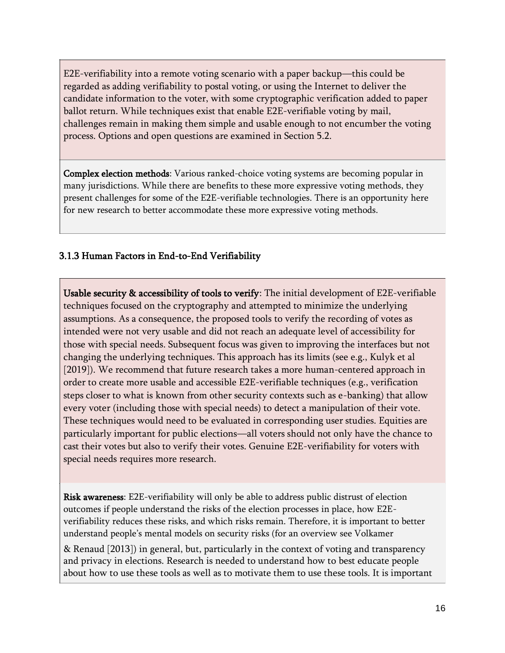E2E-verifiability into a remote voting scenario with a paper backup—this could be regarded as adding verifiability to postal voting, or using the Internet to deliver the candidate information to the voter, with some cryptographic verification added to paper ballot return. While techniques exist that enable E2E-verifiable voting by mail, challenges remain in making them simple and usable enough to not encumber the voting process. Options and open questions are examined in Section 5.2.

Complex election methods: Various ranked-choice voting systems are becoming popular in many jurisdictions. While there are benefits to these more expressive voting methods, they present challenges for some of the E2E-verifiable technologies. There is an opportunity here for new research to better accommodate these more expressive voting methods.

# 3.1.3 Human Factors in End-to-End Verifiability

Usable security & accessibility of tools to verify: The initial development of E2E-verifiable techniques focused on the cryptography and attempted to minimize the underlying assumptions. As a consequence, the proposed tools to verify the recording of votes as intended were not very usable and did not reach an adequate level of accessibility for those with special needs. Subsequent focus was given to improving the interfaces but not changing the underlying techniques. This approach has its limits (see e.g., Kulyk et al [2019]). We recommend that future research takes a more human-centered approach in order to create more usable and accessible E2E-verifiable techniques (e.g., verification steps closer to what is known from other security contexts such as e-banking) that allow every voter (including those with special needs) to detect a manipulation of their vote. These techniques would need to be evaluated in corresponding user studies. Equities are particularly important for public elections—all voters should not only have the chance to cast their votes but also to verify their votes. Genuine E2E-verifiability for voters with special needs requires more research.

Risk awareness: E2E-verifiability will only be able to address public distrust of election outcomes if people understand the risks of the election processes in place, how E2Everifiability reduces these risks, and which risks remain. Therefore, it is important to better understand people's mental models on security risks (for an overview see Volkamer

& Renaud [2013]) in general, but, particularly in the context of voting and transparency and privacy in elections. Research is needed to understand how to best educate people about how to use these tools as well as to motivate them to use these tools. It is important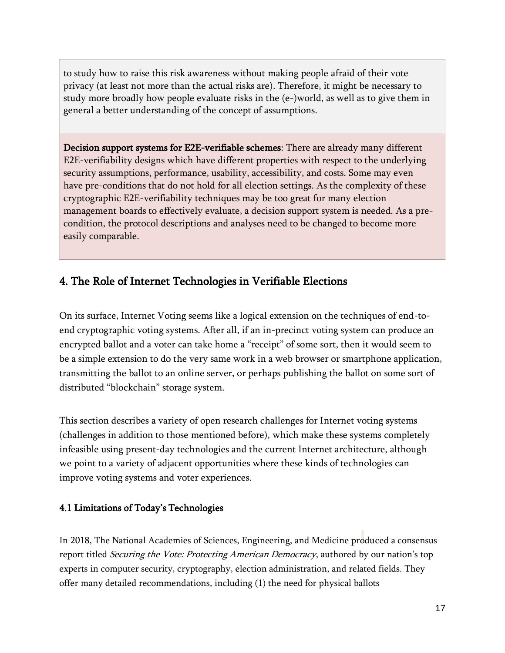to study how to raise this risk awareness without making people afraid of their vote privacy (at least not more than the actual risks are). Therefore, it might be necessary to study more broadly how people evaluate risks in the (e-)world, as well as to give them in general a better understanding of the concept of assumptions.

Decision support systems for E2E-verifiable schemes: There are already many different E2E-verifiability designs which have different properties with respect to the underlying security assumptions, performance, usability, accessibility, and costs. Some may even have pre-conditions that do not hold for all election settings. As the complexity of these cryptographic E2E-verifiability techniques may be too great for many election management boards to effectively evaluate, a decision support system is needed. As a precondition, the protocol descriptions and analyses need to be changed to become more easily comparable.

# 4. The Role of Internet Technologies in Verifiable Elections

On its surface, Internet Voting seems like a logical extension on the techniques of end-toend cryptographic voting systems. After all, if an in-precinct voting system can produce an encrypted ballot and a voter can take home a "receipt" of some sort, then it would seem to be a simple extension to do the very same work in a web browser or smartphone application, transmitting the ballot to an online server, or perhaps publishing the ballot on some sort of distributed "blockchain" storage system.

This section describes a variety of open research challenges for Internet voting systems (challenges in addition to those mentioned before), which make these systems completely infeasible using present-day technologies and the current Internet architecture, although we point to a variety of adjacent opportunities where these kinds of technologies can improve voting systems and voter experiences.

### 4.1 Limitations of Today's Technologies

In 2018, The National Academies of Sciences, Engineering, and Medicine produced a consensus report titled *Securing the Vote: Protecting American Democracy*, authored by our nation's top experts in computer security, cryptography, election administration, and related fields. They offer many detailed recommendations, including (1) the need for physical ballots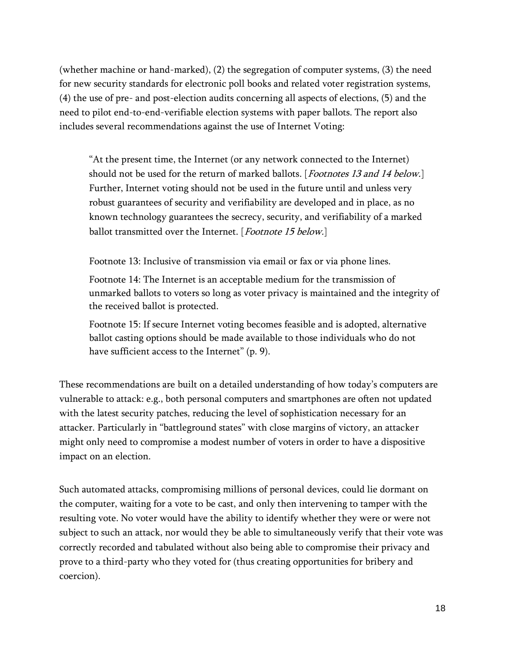(whether machine or hand-marked), (2) the segregation of computer systems, (3) the need for new security standards for electronic poll books and related voter registration systems, (4) the use of pre- and post-election audits concerning all aspects of elections, (5) and the need to pilot end-to-end-verifiable election systems with paper ballots. The report also includes several recommendations against the use of Internet Voting:

"At the present time, the Internet (or any network connected to the Internet) should not be used for the return of marked ballots. [*Footnotes 13 and 14 below.*] Further, Internet voting should not be used in the future until and unless very robust guarantees of security and verifiability are developed and in place, as no known technology guarantees the secrecy, security, and verifiability of a marked ballot transmitted over the Internet. [Footnote 15 below.]

Footnote 13: Inclusive of transmission via email or fax or via phone lines.

Footnote 14: The Internet is an acceptable medium for the transmission of unmarked ballots to voters so long as voter privacy is maintained and the integrity of the received ballot is protected.

Footnote 15: If secure Internet voting becomes feasible and is adopted, alternative ballot casting options should be made available to those individuals who do not have sufficient access to the Internet" (p. 9).

These recommendations are built on a detailed understanding of how today's computers are vulnerable to attack: e.g., both personal computers and smartphones are often not updated with the latest security patches, reducing the level of sophistication necessary for an attacker. Particularly in "battleground states" with close margins of victory, an attacker might only need to compromise a modest number of voters in order to have a dispositive impact on an election.

Such automated attacks, compromising millions of personal devices, could lie dormant on the computer, waiting for a vote to be cast, and only then intervening to tamper with the resulting vote. No voter would have the ability to identify whether they were or were not subject to such an attack, nor would they be able to simultaneously verify that their vote was correctly recorded and tabulated without also being able to compromise their privacy and prove to a third-party who they voted for (thus creating opportunities for bribery and coercion).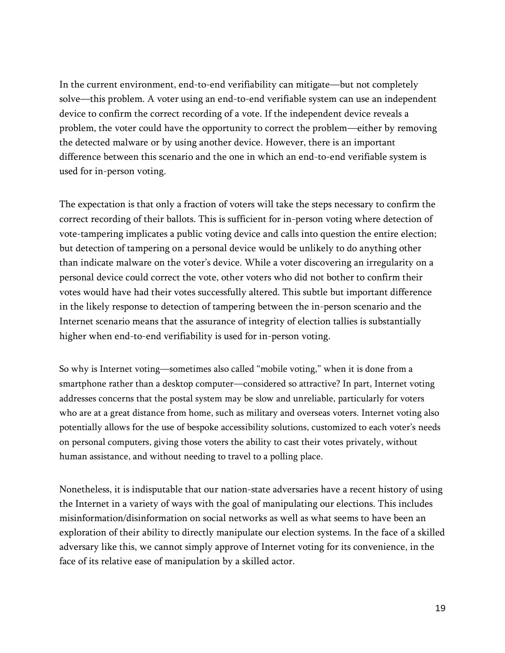In the current environment, end-to-end verifiability can mitigate—but not completely solve—this problem. A voter using an end-to-end verifiable system can use an independent device to confirm the correct recording of a vote. If the independent device reveals a problem, the voter could have the opportunity to correct the problem—either by removing the detected malware or by using another device. However, there is an important difference between this scenario and the one in which an end-to-end verifiable system is used for in-person voting.

The expectation is that only a fraction of voters will take the steps necessary to confirm the correct recording of their ballots. This is sufficient for in-person voting where detection of vote-tampering implicates a public voting device and calls into question the entire election; but detection of tampering on a personal device would be unlikely to do anything other than indicate malware on the voter's device. While a voter discovering an irregularity on a personal device could correct the vote, other voters who did not bother to confirm their votes would have had their votes successfully altered. This subtle but important difference in the likely response to detection of tampering between the in-person scenario and the Internet scenario means that the assurance of integrity of election tallies is substantially higher when end-to-end verifiability is used for in-person voting.

So why is Internet voting—sometimes also called "mobile voting," when it is done from a smartphone rather than a desktop computer—considered so attractive? In part, Internet voting addresses concerns that the postal system may be slow and unreliable, particularly for voters who are at a great distance from home, such as military and overseas voters. Internet voting also potentially allows for the use of bespoke accessibility solutions, customized to each voter's needs on personal computers, giving those voters the ability to cast their votes privately, without human assistance, and without needing to travel to a polling place.

Nonetheless, it is indisputable that our nation-state adversaries have a recent history of using the Internet in a variety of ways with the goal of manipulating our elections. This includes misinformation/disinformation on social networks as well as what seems to have been an exploration of their ability to directly manipulate our election systems. In the face of a skilled adversary like this, we cannot simply approve of Internet voting for its convenience, in the face of its relative ease of manipulation by a skilled actor.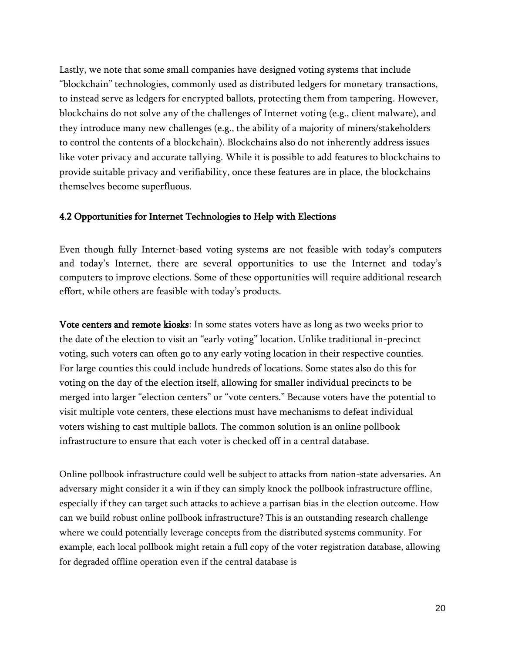Lastly, we note that some small companies have designed voting systems that include "blockchain" technologies, commonly used as distributed ledgers for monetary transactions, to instead serve as ledgers for encrypted ballots, protecting them from tampering. However, blockchains do not solve any of the challenges of Internet voting (e.g., client malware), and they introduce many new challenges (e.g., the ability of a majority of miners/stakeholders to control the contents of a blockchain). Blockchains also do not inherently address issues like voter privacy and accurate tallying. While it is possible to add features to blockchains to provide suitable privacy and verifiability, once these features are in place, the blockchains themselves become superfluous.

#### 4.2 Opportunities for Internet Technologies to Help with Elections

Even though fully Internet-based voting systems are not feasible with today's computers and today's Internet, there are several opportunities to use the Internet and today's computers to improve elections. Some of these opportunities will require additional research effort, while others are feasible with today's products.

Vote centers and remote kiosks: In some states voters have as long as two weeks prior to the date of the election to visit an "early voting" location. Unlike traditional in-precinct voting, such voters can often go to any early voting location in their respective counties. For large counties this could include hundreds of locations. Some states also do this for voting on the day of the election itself, allowing for smaller individual precincts to be merged into larger "election centers" or "vote centers." Because voters have the potential to visit multiple vote centers, these elections must have mechanisms to defeat individual voters wishing to cast multiple ballots. The common solution is an online pollbook infrastructure to ensure that each voter is checked off in a central database.

Online pollbook infrastructure could well be subject to attacks from nation-state adversaries. An adversary might consider it a win if they can simply knock the pollbook infrastructure offline, especially if they can target such attacks to achieve a partisan bias in the election outcome. How can we build robust online pollbook infrastructure? This is an outstanding research challenge where we could potentially leverage concepts from the distributed systems community. For example, each local pollbook might retain a full copy of the voter registration database, allowing for degraded offline operation even if the central database is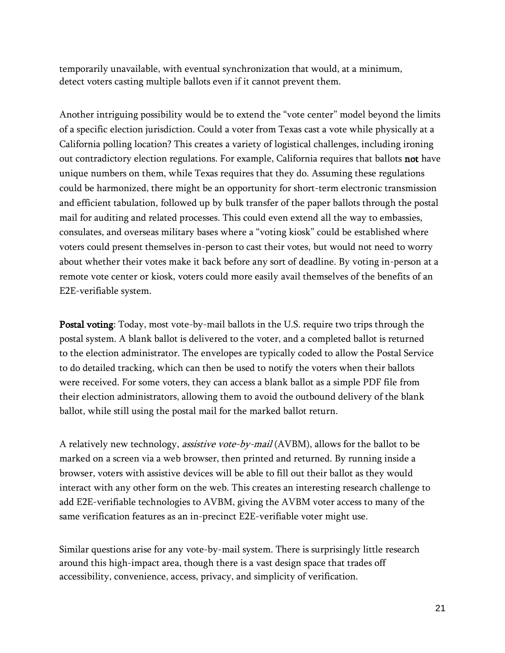temporarily unavailable, with eventual synchronization that would, at a minimum, detect voters casting multiple ballots even if it cannot prevent them.

Another intriguing possibility would be to extend the "vote center" model beyond the limits of a specific election jurisdiction. Could a voter from Texas cast a vote while physically at a California polling location? This creates a variety of logistical challenges, including ironing out contradictory election regulations. For example, California requires that ballots not have unique numbers on them, while Texas requires that they do. Assuming these regulations could be harmonized, there might be an opportunity for short-term electronic transmission and efficient tabulation, followed up by bulk transfer of the paper ballots through the postal mail for auditing and related processes. This could even extend all the way to embassies, consulates, and overseas military bases where a "voting kiosk" could be established where voters could present themselves in-person to cast their votes, but would not need to worry about whether their votes make it back before any sort of deadline. By voting in-person at a remote vote center or kiosk, voters could more easily avail themselves of the benefits of an E2E-verifiable system.

Postal voting: Today, most vote-by-mail ballots in the U.S. require two trips through the postal system. A blank ballot is delivered to the voter, and a completed ballot is returned to the election administrator. The envelopes are typically coded to allow the Postal Service to do detailed tracking, which can then be used to notify the voters when their ballots were received. For some voters, they can access a blank ballot as a simple PDF file from their election administrators, allowing them to avoid the outbound delivery of the blank ballot, while still using the postal mail for the marked ballot return.

A relatively new technology, *assistive vote-by-mail* (AVBM), allows for the ballot to be marked on a screen via a web browser, then printed and returned. By running inside a browser, voters with assistive devices will be able to fill out their ballot as they would interact with any other form on the web. This creates an interesting research challenge to add E2E-verifiable technologies to AVBM, giving the AVBM voter access to many of the same verification features as an in-precinct E2E-verifiable voter might use.

Similar questions arise for any vote-by-mail system. There is surprisingly little research around this high-impact area, though there is a vast design space that trades off accessibility, convenience, access, privacy, and simplicity of verification.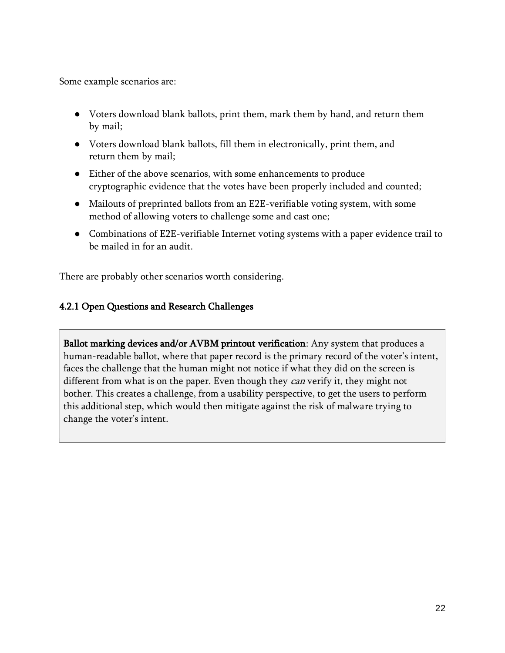Some example scenarios are:

- Voters download blank ballots, print them, mark them by hand, and return them by mail;
- Voters download blank ballots, fill them in electronically, print them, and return them by mail;
- Either of the above scenarios, with some enhancements to produce cryptographic evidence that the votes have been properly included and counted;
- Mailouts of preprinted ballots from an E2E-verifiable voting system, with some method of allowing voters to challenge some and cast one;
- Combinations of E2E-verifiable Internet voting systems with a paper evidence trail to be mailed in for an audit.

There are probably other scenarios worth considering.

# 4.2.1 Open Questions and Research Challenges

Ballot marking devices and/or AVBM printout verification: Any system that produces a human-readable ballot, where that paper record is the primary record of the voter's intent, faces the challenge that the human might not notice if what they did on the screen is different from what is on the paper. Even though they *can* verify it, they might not bother. This creates a challenge, from a usability perspective, to get the users to perform this additional step, which would then mitigate against the risk of malware trying to change the voter's intent.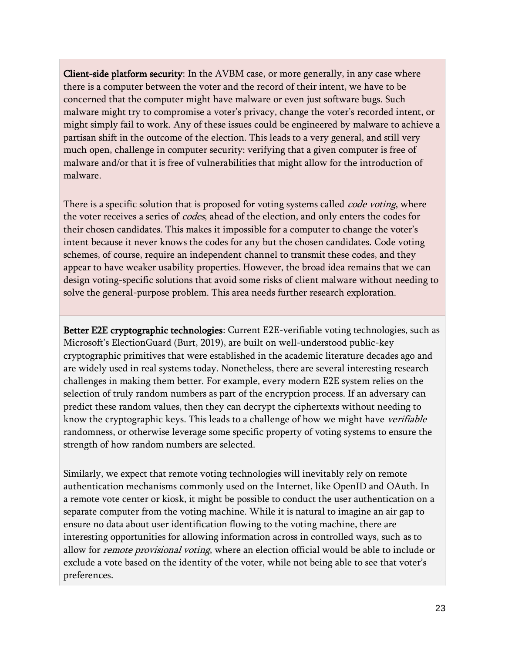Client-side platform security: In the AVBM case, or more generally, in any case where there is a computer between the voter and the record of their intent, we have to be concerned that the computer might have malware or even just software bugs. Such malware might try to compromise a voter's privacy, change the voter's recorded intent, or might simply fail to work. Any of these issues could be engineered by malware to achieve a partisan shift in the outcome of the election. This leads to a very general, and still very much open, challenge in computer security: verifying that a given computer is free of malware and/or that it is free of vulnerabilities that might allow for the introduction of malware.

There is a specific solution that is proposed for voting systems called *code voting*, where the voter receives a series of *codes*, ahead of the election, and only enters the codes for their chosen candidates. This makes it impossible for a computer to change the voter's intent because it never knows the codes for any but the chosen candidates. Code voting schemes, of course, require an independent channel to transmit these codes, and they appear to have weaker usability properties. However, the broad idea remains that we can design voting-specific solutions that avoid some risks of client malware without needing to solve the general-purpose problem. This area needs further research exploration.

Better E2E cryptographic technologies: Current E2E-verifiable voting technologies, such as Microsoft's ElectionGuard (Burt, 2019), are built on well-understood public-key cryptographic primitives that were established in the academic literature decades ago and are widely used in real systems today. Nonetheless, there are several interesting research challenges in making them better. For example, every modern E2E system relies on the selection of truly random numbers as part of the encryption process. If an adversary can predict these random values, then they can decrypt the ciphertexts without needing to know the cryptographic keys. This leads to a challenge of how we might have *verifiable* randomness, or otherwise leverage some specific property of voting systems to ensure the strength of how random numbers are selected.

Similarly, we expect that remote voting technologies will inevitably rely on remote authentication mechanisms commonly used on the Internet, like OpenID and OAuth. In a remote vote center or kiosk, it might be possible to conduct the user authentication on a separate computer from the voting machine. While it is natural to imagine an air gap to ensure no data about user identification flowing to the voting machine, there are interesting opportunities for allowing information across in controlled ways, such as to allow for *remote provisional voting*, where an election official would be able to include or exclude a vote based on the identity of the voter, while not being able to see that voter's preferences.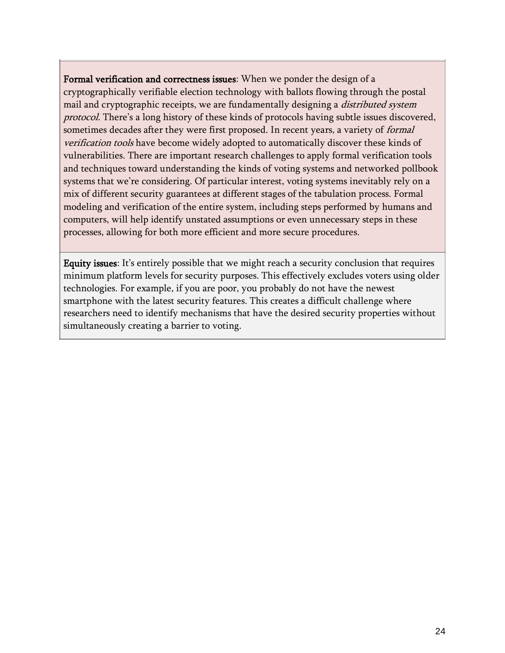Formal verification and correctness issues: When we ponder the design of a cryptographically verifiable election technology with ballots flowing through the postal mail and cryptographic receipts, we are fundamentally designing a *distributed system* protocol. There's a long history of these kinds of protocols having subtle issues discovered, sometimes decades after they were first proposed. In recent years, a variety of *formal* verification tools have become widely adopted to automatically discover these kinds of vulnerabilities. There are important research challenges to apply formal verification tools and techniques toward understanding the kinds of voting systems and networked pollbook systems that we're considering. Of particular interest, voting systems inevitably rely on a mix of different security guarantees at different stages of the tabulation process. Formal modeling and verification of the entire system, including steps performed by humans and computers, will help identify unstated assumptions or even unnecessary steps in these processes, allowing for both more efficient and more secure procedures.

Equity issues: It's entirely possible that we might reach a security conclusion that requires minimum platform levels for security purposes. This effectively excludes voters using older technologies. For example, if you are poor, you probably do not have the newest smartphone with the latest security features. This creates a difficult challenge where researchers need to identify mechanisms that have the desired security properties without simultaneously creating a barrier to voting.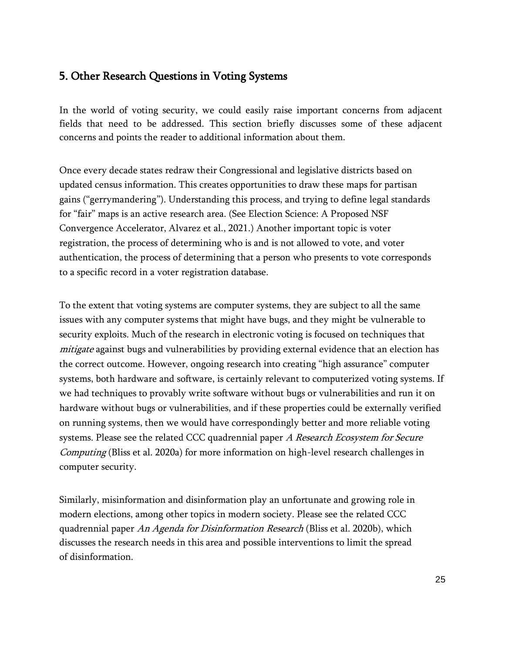# 5. Other Research Questions in Voting Systems

In the world of voting security, we could easily raise important concerns from adjacent fields that need to be addressed. This section briefly discusses some of these adjacent concerns and points the reader to additional information about them.

Once every decade states redraw their Congressional and legislative districts based on updated census information. This creates opportunities to draw these maps for partisan gains ("gerrymandering"). Understanding this process, and trying to define legal standards for "fair" maps is an active research area. (See Election Science: A Proposed NSF Convergence Accelerator, Alvarez et al., 2021.) Another important topic is voter registration, the process of determining who is and is not allowed to vote, and voter authentication, the process of determining that a person who presents to vote corresponds to a specific record in a voter registration database.

To the extent that voting systems are computer systems, they are subject to all the same issues with any computer systems that might have bugs, and they might be vulnerable to security exploits. Much of the research in electronic voting is focused on techniques that mitigate against bugs and vulnerabilities by providing external evidence that an election has the correct outcome. However, ongoing research into creating "high assurance" computer systems, both hardware and software, is certainly relevant to computerized voting systems. If we had techniques to provably write software without bugs or vulnerabilities and run it on hardware without bugs or vulnerabilities, and if these properties could be externally verified on running systems, then we would have correspondingly better and more reliable voting systems. Please see the related CCC quadrennial paper A Research Ecosystem for Secure *Computing* (Bliss et al. 2020a) for more information on high-level research challenges in computer security.

Similarly, misinformation and disinformation play an unfortunate and growing role in modern elections, among other topics in modern society. Please see the related CCC quadrennial paper An Agenda for Disinformation Research (Bliss et al. 2020b), which discusses the research needs in this area and possible interventions to limit the spread of disinformation.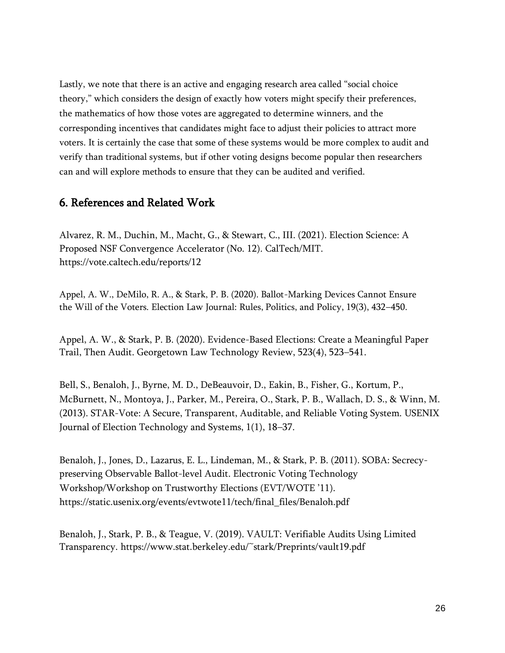Lastly, we note that there is an active and engaging research area called "social choice theory," which considers the design of exactly how voters might specify their preferences, the mathematics of how those votes are aggregated to determine winners, and the corresponding incentives that candidates might face to adjust their policies to attract more voters. It is certainly the case that some of these systems would be more complex to audit and verify than traditional systems, but if other voting designs become popular then researchers can and will explore methods to ensure that they can be audited and verified.

# 6. References and Related Work

Alvarez, R. M., Duchin, M., Macht, G., & Stewart, C., III. (2021). Election Science: A Proposed NSF Convergence Accelerator (No. 12). CalTech/MIT. https://vote.caltech.edu/reports/12

Appel, A. W., DeMilo, R. A., & Stark, P. B. (2020). Ballot-Marking Devices Cannot Ensure the Will of the Voters. Election Law Journal: Rules, Politics, and Policy, 19(3), 432–450.

Appel, A. W., & Stark, P. B. (2020). Evidence-Based Elections: Create a Meaningful Paper Trail, Then Audit. Georgetown Law Technology Review, 523(4), 523–541.

Bell, S., Benaloh, J., Byrne, M. D., DeBeauvoir, D., Eakin, B., Fisher, G., Kortum, P., McBurnett, N., Montoya, J., Parker, M., Pereira, O., Stark, P. B., Wallach, D. S., & Winn, M. (2013). STAR-Vote: A Secure, Transparent, Auditable, and Reliable Voting System. USENIX Journal of Election Technology and Systems, 1(1), 18–37.

Benaloh, J., Jones, D., Lazarus, E. L., Lindeman, M., & Stark, P. B. (2011). SOBA: Secrecypreserving Observable Ballot-level Audit. Electronic Voting Technology Workshop/Workshop on Trustworthy Elections (EVT/WOTE '11). https://static.usenix.org/events/evtwote11/tech/final\_files/Benaloh.pdf

Benaloh, J., Stark, P. B., & Teague, V. (2019). VAULT: Verifiable Audits Using Limited Transparency. https://www.stat.berkeley.edu/~stark/Preprints/vault19.pdf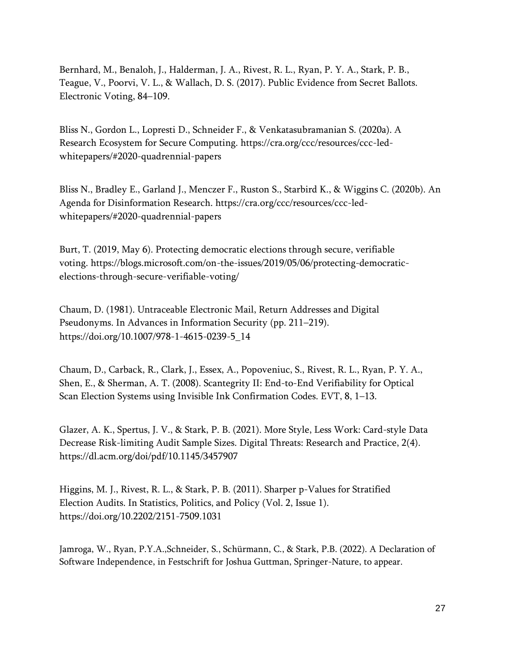Bernhard, M., Benaloh, J., Halderman, J. A., Rivest, R. L., Ryan, P. Y. A., Stark, P. B., Teague, V., Poorvi, V. L., & Wallach, D. S. (2017). Public Evidence from Secret Ballots. Electronic Voting, 84–109.

Bliss N., Gordon L., Lopresti D., Schneider F., & Venkatasubramanian S. (2020a). A Research Ecosystem for Secure Computing. https://cra.org/ccc/resources/ccc-ledwhitepapers/#2020-quadrennial-papers

Bliss N., Bradley E., Garland J., Menczer F., Ruston S., Starbird K., & Wiggins C. (2020b). An Agenda for Disinformation Research. https://cra.org/ccc/resources/ccc-ledwhitepapers/#2020-quadrennial-papers

Burt, T. (2019, May 6). Protecting democratic elections through secure, verifiable voting. https://blogs.microsoft.com/on-the-issues/2019/05/06/protecting-democraticelections-through-secure-verifiable-voting/

Chaum, D. (1981). Untraceable Electronic Mail, Return Addresses and Digital Pseudonyms. In Advances in Information Security (pp. 211–219). https://doi.org/10.1007/978-1-4615-0239-5\_14

Chaum, D., Carback, R., Clark, J., Essex, A., Popoveniuc, S., Rivest, R. L., Ryan, P. Y. A., Shen, E., & Sherman, A. T. (2008). Scantegrity II: End-to-End Verifiability for Optical Scan Election Systems using Invisible Ink Confirmation Codes. EVT, 8, 1–13.

Glazer, A. K., Spertus, J. V., & Stark, P. B. (2021). More Style, Less Work: Card-style Data Decrease Risk-limiting Audit Sample Sizes. Digital Threats: Research and Practice, 2(4). https://dl.acm.org/doi/pdf/10.1145/3457907

Higgins, M. J., Rivest, R. L., & Stark, P. B. (2011). Sharper p-Values for Stratified Election Audits. In Statistics, Politics, and Policy (Vol. 2, Issue 1). https://doi.org/10.2202/2151-7509.1031

Jamroga, W., Ryan, P.Y.A.,Schneider, S., Schürmann, C., & Stark, P.B. (2022). A Declaration of Software Independence, in Festschrift for Joshua Guttman, Springer-Nature, to appear.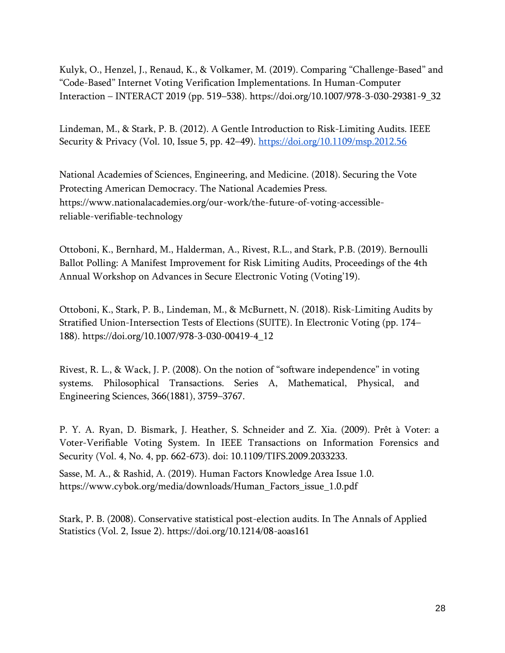Kulyk, O., Henzel, J., Renaud, K., & Volkamer, M. (2019). Comparing "Challenge-Based" and "Code-Based" Internet Voting Verification Implementations. In Human-Computer Interaction – INTERACT 2019 (pp. 519–538). https://doi.org/10.1007/978-3-030-29381-9\_32

Lindeman, M., & Stark, P. B. (2012). A Gentle Introduction to Risk-Limiting Audits. IEEE Security & Privacy (Vol. 10, Issue 5, pp. 42–49). <https://doi.org/10.1109/msp.2012.56>

National Academies of Sciences, Engineering, and Medicine. (2018). Securing the Vote Protecting American Democracy. The National Academies Press. https://www.nationalacademies.org/our-work/the-future-of-voting-accessiblereliable-verifiable-technology

Ottoboni, K., Bernhard, M., Halderman, A., Rivest, R.L., and Stark, P.B. (2019). Bernoulli Ballot Polling: A Manifest Improvement for Risk Limiting Audits, Proceedings of the 4th Annual Workshop on Advances in Secure Electronic Voting (Voting'19).

Ottoboni, K., Stark, P. B., Lindeman, M., & McBurnett, N. (2018). Risk-Limiting Audits by Stratified Union-Intersection Tests of Elections (SUITE). In Electronic Voting (pp. 174– 188). https://doi.org/10.1007/978-3-030-00419-4\_12

Rivest, R. L., & Wack, J. P. (2008). On the notion of "software independence" in voting systems. Philosophical Transactions. Series A, Mathematical, Physical, and Engineering Sciences, 366(1881), 3759–3767.

P. Y. A. Ryan, D. Bismark, J. Heather, S. Schneider and Z. Xia. (2009). Prêt à Voter: a Voter-Verifiable Voting System. In IEEE Transactions on Information Forensics and Security (Vol. 4, No. 4, pp. 662-673). doi: 10.1109/TIFS.2009.2033233.

Sasse, M. A., & Rashid, A. (2019). Human Factors Knowledge Area Issue 1.0. https://www.cybok.org/media/downloads/Human\_Factors\_issue\_1.0.pdf

Stark, P. B. (2008). Conservative statistical post-election audits. In The Annals of Applied Statistics (Vol. 2, Issue 2). https://doi.org/10.1214/08-aoas161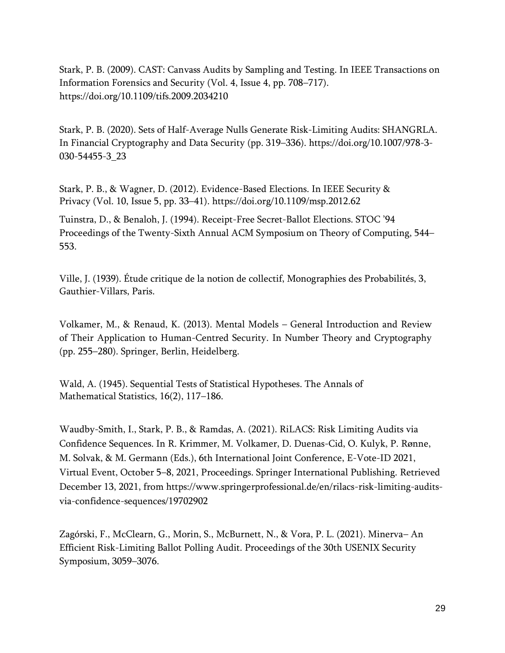Stark, P. B. (2009). CAST: Canvass Audits by Sampling and Testing. In IEEE Transactions on Information Forensics and Security (Vol. 4, Issue 4, pp. 708–717). https://doi.org/10.1109/tifs.2009.2034210

Stark, P. B. (2020). Sets of Half-Average Nulls Generate Risk-Limiting Audits: SHANGRLA. In Financial Cryptography and Data Security (pp. 319–336). https://doi.org/10.1007/978-3- 030-54455-3\_23

Stark, P. B., & Wagner, D. (2012). Evidence-Based Elections. In IEEE Security & Privacy (Vol. 10, Issue 5, pp. 33–41). https://doi.org/10.1109/msp.2012.62

Tuinstra, D., & Benaloh, J. (1994). Receipt-Free Secret-Ballot Elections. STOC '94 Proceedings of the Twenty-Sixth Annual ACM Symposium on Theory of Computing, 544– 553.

Ville, J. (1939). Étude critique de la notion de collectif, Monographies des Probabilités, 3, Gauthier-Villars, Paris.

Volkamer, M., & Renaud, K. (2013). Mental Models – General Introduction and Review of Their Application to Human-Centred Security. In Number Theory and Cryptography (pp. 255–280). Springer, Berlin, Heidelberg.

Wald, A. (1945). Sequential Tests of Statistical Hypotheses. The Annals of Mathematical Statistics, 16(2), 117–186.

Waudby-Smith, I., Stark, P. B., & Ramdas, A. (2021). RiLACS: Risk Limiting Audits via Confidence Sequences. In R. Krimmer, M. Volkamer, D. Duenas-Cid, O. Kulyk, P. Rønne, M. Solvak, & M. Germann (Eds.), 6th International Joint Conference, E-Vote-ID 2021, Virtual Event, October 5–8, 2021, Proceedings. Springer International Publishing. Retrieved December 13, 2021, from https://www.springerprofessional.de/en/rilacs-risk-limiting-auditsvia-confidence-sequences/19702902

Zagórski, F., McClearn, G., Morin, S., McBurnett, N., & Vora, P. L. (2021). Minerva– An Efficient Risk-Limiting Ballot Polling Audit. Proceedings of the 30th USENIX Security Symposium, 3059–3076.